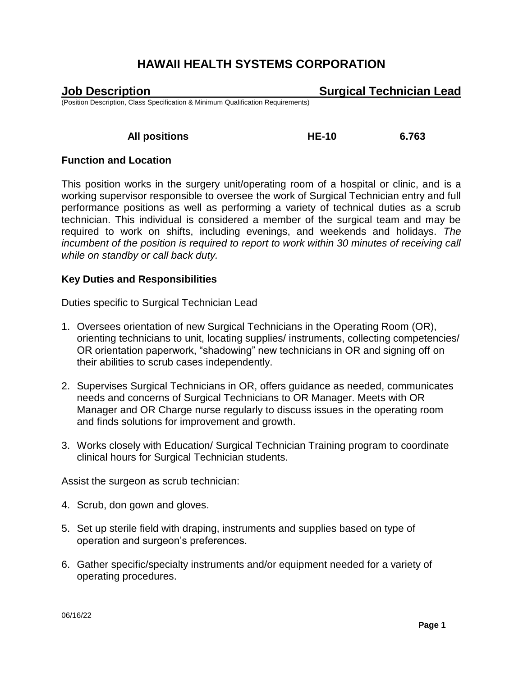**Job Description Surgical Technician Lead**

(Position Description, Class Specification & Minimum Qualification Requirements)

 **All positions HE-10 6.763**

## **Function and Location**

This position works in the surgery unit/operating room of a hospital or clinic, and is a working supervisor responsible to oversee the work of Surgical Technician entry and full performance positions as well as performing a variety of technical duties as a scrub technician. This individual is considered a member of the surgical team and may be required to work on shifts, including evenings, and weekends and holidays. *The incumbent of the position is required to report to work within 30 minutes of receiving call while on standby or call back duty.*

## **Key Duties and Responsibilities**

Duties specific to Surgical Technician Lead

- 1. Oversees orientation of new Surgical Technicians in the Operating Room (OR), orienting technicians to unit, locating supplies/ instruments, collecting competencies/ OR orientation paperwork, "shadowing" new technicians in OR and signing off on their abilities to scrub cases independently.
- 2. Supervises Surgical Technicians in OR, offers guidance as needed, communicates needs and concerns of Surgical Technicians to OR Manager. Meets with OR Manager and OR Charge nurse regularly to discuss issues in the operating room and finds solutions for improvement and growth.
- 3. Works closely with Education/ Surgical Technician Training program to coordinate clinical hours for Surgical Technician students.

Assist the surgeon as scrub technician:

- 4. Scrub, don gown and gloves.
- 5. Set up sterile field with draping, instruments and supplies based on type of operation and surgeon's preferences.
- 6. Gather specific/specialty instruments and/or equipment needed for a variety of operating procedures.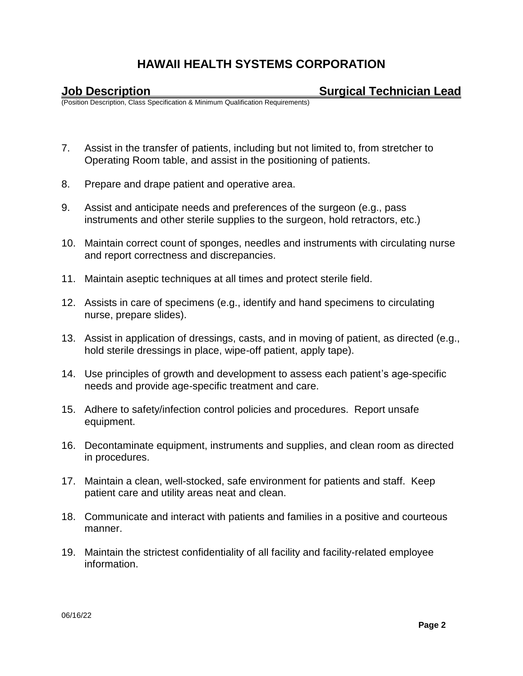**Job Description Surgical Technician Lead**

(Position Description, Class Specification & Minimum Qualification Requirements)

- 7. Assist in the transfer of patients, including but not limited to, from stretcher to Operating Room table, and assist in the positioning of patients.
- 8. Prepare and drape patient and operative area.
- 9. Assist and anticipate needs and preferences of the surgeon (e.g., pass instruments and other sterile supplies to the surgeon, hold retractors, etc.)
- 10. Maintain correct count of sponges, needles and instruments with circulating nurse and report correctness and discrepancies.
- 11. Maintain aseptic techniques at all times and protect sterile field.
- 12. Assists in care of specimens (e.g., identify and hand specimens to circulating nurse, prepare slides).
- 13. Assist in application of dressings, casts, and in moving of patient, as directed (e.g., hold sterile dressings in place, wipe-off patient, apply tape).
- 14. Use principles of growth and development to assess each patient's age-specific needs and provide age-specific treatment and care.
- 15. Adhere to safety/infection control policies and procedures. Report unsafe equipment.
- 16. Decontaminate equipment, instruments and supplies, and clean room as directed in procedures.
- 17. Maintain a clean, well-stocked, safe environment for patients and staff. Keep patient care and utility areas neat and clean.
- 18. Communicate and interact with patients and families in a positive and courteous manner.
- 19. Maintain the strictest confidentiality of all facility and facility-related employee information.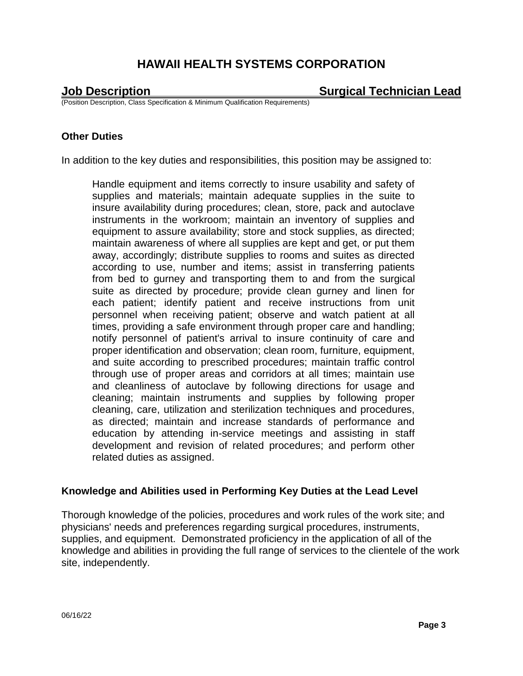**Job Description Surgical Technician Lead**

(Position Description, Class Specification & Minimum Qualification Requirements)

### **Other Duties**

In addition to the key duties and responsibilities, this position may be assigned to:

Handle equipment and items correctly to insure usability and safety of supplies and materials; maintain adequate supplies in the suite to insure availability during procedures; clean, store, pack and autoclave instruments in the workroom; maintain an inventory of supplies and equipment to assure availability; store and stock supplies, as directed; maintain awareness of where all supplies are kept and get, or put them away, accordingly; distribute supplies to rooms and suites as directed according to use, number and items; assist in transferring patients from bed to gurney and transporting them to and from the surgical suite as directed by procedure; provide clean gurney and linen for each patient; identify patient and receive instructions from unit personnel when receiving patient; observe and watch patient at all times, providing a safe environment through proper care and handling; notify personnel of patient's arrival to insure continuity of care and proper identification and observation; clean room, furniture, equipment, and suite according to prescribed procedures; maintain traffic control through use of proper areas and corridors at all times; maintain use and cleanliness of autoclave by following directions for usage and cleaning; maintain instruments and supplies by following proper cleaning, care, utilization and sterilization techniques and procedures, as directed; maintain and increase standards of performance and education by attending in-service meetings and assisting in staff development and revision of related procedures; and perform other related duties as assigned.

### **Knowledge and Abilities used in Performing Key Duties at the Lead Level**

Thorough knowledge of the policies, procedures and work rules of the work site; and physicians' needs and preferences regarding surgical procedures, instruments, supplies, and equipment. Demonstrated proficiency in the application of all of the knowledge and abilities in providing the full range of services to the clientele of the work site, independently.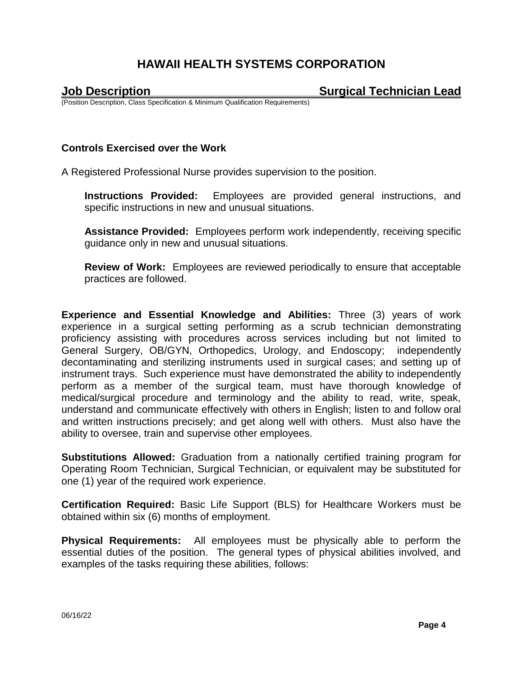**Job Description Surgical Technician Lead**

(Position Description, Class Specification & Minimum Qualification Requirements)

### **Controls Exercised over the Work**

A Registered Professional Nurse provides supervision to the position.

**Instructions Provided:** Employees are provided general instructions, and specific instructions in new and unusual situations.

**Assistance Provided:** Employees perform work independently, receiving specific guidance only in new and unusual situations.

**Review of Work:** Employees are reviewed periodically to ensure that acceptable practices are followed.

**Experience and Essential Knowledge and Abilities:** Three (3) years of work experience in a surgical setting performing as a scrub technician demonstrating proficiency assisting with procedures across services including but not limited to General Surgery, OB/GYN, Orthopedics, Urology, and Endoscopy; independently decontaminating and sterilizing instruments used in surgical cases; and setting up of instrument trays. Such experience must have demonstrated the ability to independently perform as a member of the surgical team, must have thorough knowledge of medical/surgical procedure and terminology and the ability to read, write, speak, understand and communicate effectively with others in English; listen to and follow oral and written instructions precisely; and get along well with others. Must also have the ability to oversee, train and supervise other employees.

**Substitutions Allowed:** Graduation from a nationally certified training program for Operating Room Technician, Surgical Technician, or equivalent may be substituted for one (1) year of the required work experience.

**Certification Required:** Basic Life Support (BLS) for Healthcare Workers must be obtained within six (6) months of employment.

**Physical Requirements:** All employees must be physically able to perform the essential duties of the position. The general types of physical abilities involved, and examples of the tasks requiring these abilities, follows: